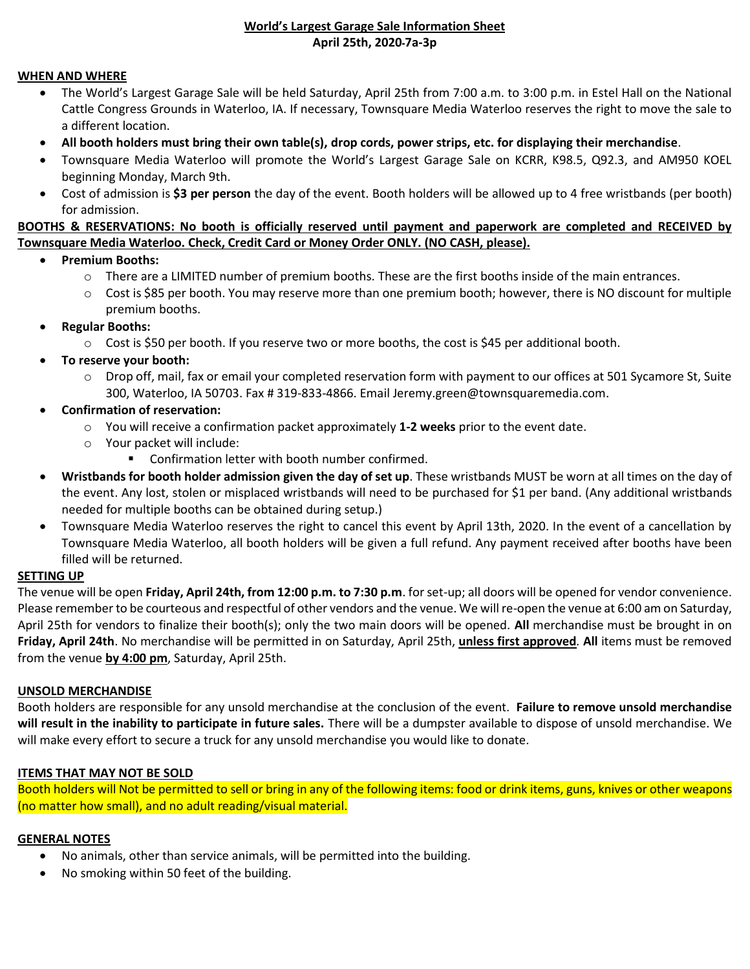### **World's Largest Garage Sale Information Sheet April 25th, 2020 7a-3p**

#### **WHEN AND WHERE**

- The World's Largest Garage Sale will be held Saturday, April 25th from 7:00 a.m. to 3:00 p.m. in Estel Hall on the National Cattle Congress Grounds in Waterloo, IA. If necessary, Townsquare Media Waterloo reserves the right to move the sale to a different location.
- **All booth holders must bring their own table(s), drop cords, power strips, etc. for displaying their merchandise**.
- Townsquare Media Waterloo will promote the World's Largest Garage Sale on KCRR, K98.5, Q92.3, and AM950 KOEL beginning Monday, March 9th.
- Cost of admission is **\$3 per person** the day of the event. Booth holders will be allowed up to 4 free wristbands (per booth) for admission.

### **BOOTHS & RESERVATIONS: No booth is officially reserved until payment and paperwork are completed and RECEIVED by Townsquare Media Waterloo. Check, Credit Card or Money Order ONLY. (NO CASH, please).**

- **Premium Booths:**
	- o There are a LIMITED number of premium booths. These are the first booths inside of the main entrances.
	- $\circ$  Cost is \$85 per booth. You may reserve more than one premium booth; however, there is NO discount for multiple premium booths.
- **Regular Booths:**
	- $\circ$  Cost is \$50 per booth. If you reserve two or more booths, the cost is \$45 per additional booth.
- **To reserve your booth:**
	- o Drop off, mail, fax or email your completed reservation form with payment to our offices at 501 Sycamore St, Suite 300, Waterloo, IA 50703. Fax # 319-833-4866. Email Jeremy.green@townsquaremedia.com.
- **Confirmation of reservation:**
	- o You will receive a confirmation packet approximately **1-2 weeks** prior to the event date.
	- o Your packet will include:
		- Confirmation letter with booth number confirmed.
- **Wristbands for booth holder admission given the day of set up**. These wristbands MUST be worn at all times on the day of the event. Any lost, stolen or misplaced wristbands will need to be purchased for \$1 per band. (Any additional wristbands needed for multiple booths can be obtained during setup.)
- Townsquare Media Waterloo reserves the right to cancel this event by April 13th, 2020. In the event of a cancellation by Townsquare Media Waterloo, all booth holders will be given a full refund. Any payment received after booths have been filled will be returned.

#### **SETTING UP**

The venue will be open **Friday, April 24th, from 12:00 p.m. to 7:30 p.m**. for set-up; all doors will be opened for vendor convenience. Please remember to be courteous and respectful of other vendors and the venue. We will re-open the venue at 6:00 am on Saturday, April 25th for vendors to finalize their booth(s); only the two main doors will be opened. **All** merchandise must be brought in on **Friday, April 24th**. No merchandise will be permitted in on Saturday, April 25th, **unless first approved***.* **All** items must be removed from the venue **by 4:00 pm**, Saturday, April 25th.

#### **UNSOLD MERCHANDISE**

Booth holders are responsible for any unsold merchandise at the conclusion of the event. **Failure to remove unsold merchandise will result in the inability to participate in future sales.** There will be a dumpster available to dispose of unsold merchandise. We will make every effort to secure a truck for any unsold merchandise you would like to donate.

# **ITEMS THAT MAY NOT BE SOLD**

Booth holders will Not be permitted to sell or bring in any of the following items: food or drink items, guns, knives or other weapons (no matter how small), and no adult reading/visual material.

#### **GENERAL NOTES**

- No animals, other than service animals, will be permitted into the building.
- No smoking within 50 feet of the building.